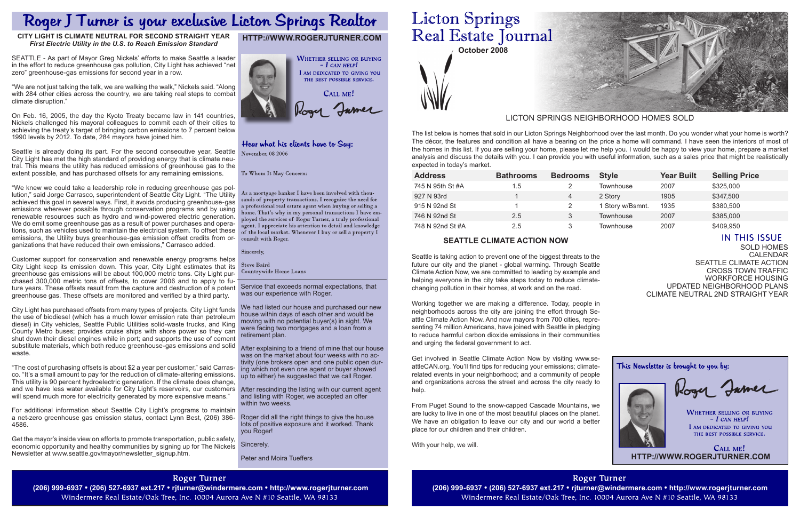**October 2008**

Sold Homes **CALENDAR** Seattle Climate Action Cross Town Traffic Workforce Housing Updated Neighborhood Plans Climate NeUtral 2nd straight year

This Newsletter is brought to you by:

Roger Jamer

**WHETHER SELLING OR BUYING**  $-$  I can help! I AM DEDICATED TO GIVING YOU THE BEST POSSIBLE SERVICE.

Service that exceeds normal expectations, that was our experience with Roger.

We had listed our house and purchased our new house within days of each other and would be moving with no potential buyer(s) in sight. We were facing two mortgages and a loan from a retirement plan.

After explaining to a friend of mine that our house was on the market about four weeks with no activity (one brokers open and one public open during which not even one agent or buyer showed up to either) he suggested that we call Roger.

After rescinding the listing with our current agent and listing with Roger, we accepted an offer within two weeks.

Roger did all the right things to give the house lots of positive exposure and it worked. Thank you Roger!

Sincerely,

 $C$ ALL ME! **http://www.rogerjturner.com**

Peter and Moira Tueffers

# **Licton Springs** Real Estate Journal

| <b>Address</b>   | <b>Bathrooms</b> | <b>Bedrooms</b> | <b>Style</b>     | <b>Year Built</b> | <b>Selling Price</b> |
|------------------|------------------|-----------------|------------------|-------------------|----------------------|
| 745 N 95th St #A | 1.5              |                 | Townhouse        | 2007              | \$325,000            |
| 927 N 93rd       |                  | 4               | 2 Story          | 1905              | \$347,500            |
| 915 N 92nd St    |                  |                 | 1 Story w/Bsmnt. | 1935              | \$380,500            |
| 746 N 92nd St    | 2.5              | 3               | Townhouse        | 2007              | \$385,000            |
| 748 N 92nd St #A | 2.5              |                 | Townhouse        | 2007              | \$409,950            |

The list below is homes that sold in our Licton Springs Neighborhood over the last month. Do you wonder what your home is worth? The décor, the features and condition all have a bearing on the price a home will command. I have seen the interiors of most of the homes in this list. If you are selling your home, please let me help you. I would be happy to view your home, prepare a market analysis and discuss the details with you. I can provide you with useful information, such as a sales price that might be realistically expected in today's market.

## LICTON SPRINGS NEIGHBORHOOD HOMES SOLD

# **http://www.rogerjturner.com**



# Hear what his clients have to Say:

November, 08 2006

To Whom It May Concern:

As a mortgage banker I have been involved with thouands of property transactions. I recognize the need for a professional real estate agent when buying or selling a home. That's why in my personal transactions I have employed the services of Roger Turner, a truly professional agent. I appreciate his attention to detail and knowledge of the local market. Whenever I buy or sell a property I consult with Roger.

Sincerely,

**Steve Baird** Countrywide Home Loans

# **Seattle Climate Action Now**

Seattle is taking action to prevent one of the biggest threats to the future our city and the planet - global warming. Through Seattle Climate Action Now, we are committed to leading by example and helping everyone in the city take steps today to reduce climatechanging pollution in their homes, at work and on the road.

Working together we are making a difference. Today, people in neighborhoods across the city are joining the effort through Seattle Climate Action Now. And now mayors from 700 cities, representing 74 million Americans, have joined with Seattle in pledging to reduce harmful carbon dioxide emissions in their communities and urging the federal government to act.

Get involved in Seattle Climate Action Now by visiting www.seattleCAN.org. You'll find tips for reducing your emissions; climaterelated events in your neighborhood; and a community of people and organizations across the street and across the city ready to help.

"The cost of purchasing offsets is about \$2 a year per customer," said Carrasco. "It's a small amount to pay for the reduction of climate-altering emissions. This utility is 90 percent hydroelectric generation. If the climate does change, and we have less water available for City Light's reservoirs, our customers will spend much more for electricity generated by more expensive means."

> From Puget Sound to the snow-capped Cascade Mountains, we are lucky to live in one of the most beautiful places on the planet. We have an obligation to leave our city and our world a better place for our children and their children.

With your help, we will.

**Roger Turner** (206) 999-6937 • (206) 527-6937 ext.217 • rjturner@windermere.com • http://www.rogerjturner.com (206) 999-6937 • (206) 527-6937 ext.217 • rjturner@windermere.com • http://www.rogerjturner.com Windermere Real Estate/Oak Tree, Inc. 10004 Aurora Ave N #10 Seattle, WA 98133

**Roger Turner** 

Windermere Real Estate/Oak Tree, Inc. 10004 Aurora Ave N #10 Seattle, WA 98133



# **IN THIS ISSUE**

# Roger J Turner is your exclusive Licton Springs Realtor

## **City Light is Climate Neutral for Second Straight Year**  *First Electric Utility in the U.S. to Reach Emission Standard*

SEATTLE - As part of Mayor Greg Nickels' efforts to make Seattle a leader in the effort to reduce greenhouse gas pollution, City Light has achieved "net zero" greenhouse-gas emissions for second year in a row.

"We are not just talking the talk, we are walking the walk," Nickels said. "Along with 284 other cities across the country, we are taking real steps to combat climate disruption."

On Feb. 16, 2005, the day the Kyoto Treaty became law in 141 countries, Nickels challenged his mayoral colleagues to commit each of their cities to achieving the treaty's target of bringing carbon emissions to 7 percent below 1990 levels by 2012. To date, 284 mayors have joined him.

Seattle is already doing its part. For the second consecutive year, Seattle City Light has met the high standard of providing energy that is climate neutral. This means the utility has reduced emissions of greenhouse gas to the extent possible, and has purchased offsets for any remaining emissions.

"We knew we could take a leadership role in reducing greenhouse gas pollution," said Jorge Carrasco, superintendent of Seattle City Light. "The Utility achieved this goal in several ways. First, it avoids producing greenhouse-gas emissions wherever possible through conservation programs and by using renewable resources such as hydro and wind-powered electric generation. We do emit some greenhouse gas as a result of power purchases and operations, such as vehicles used to maintain the electrical system. To offset these emissions, the Utility buys greenhouse-gas emission offset credits from organizations that have reduced their own emissions," Carrasco added.

Customer support for conservation and renewable energy programs helps City Light keep its emission down. This year, City Light estimates that its greenhouse gas emissions will be about 100,000 metric tons. City Light purchased 300,000 metric tons of offsets, to cover 2006 and to apply to future years. These offsets result from the capture and destruction of a potent greenhouse gas. These offsets are monitored and verified by a third party.

City Light has purchased offsets from many types of projects. City Light funds the use of biodiesel (which has a much lower emission rate than petroleum diesel) in City vehicles, Seattle Public Utilities solid-waste trucks, and King County Metro buses; provides cruise ships with shore power so they can shut down their diesel engines while in port; and supports the use of cement substitute materials, which both reduce greenhouse-gas emissions and solid waste.

For additional information about Seattle City Light's programs to maintain a net-zero greenhouse gas emission status, contact Lynn Best, (206) 386- 4586.

Get the mayor's inside view on efforts to promote transportation, public safety, economic opportunity and healthy communities by signing up for The Nickels Newsletter at www.seattle.gov/mayor/newsletter\_signup.htm.